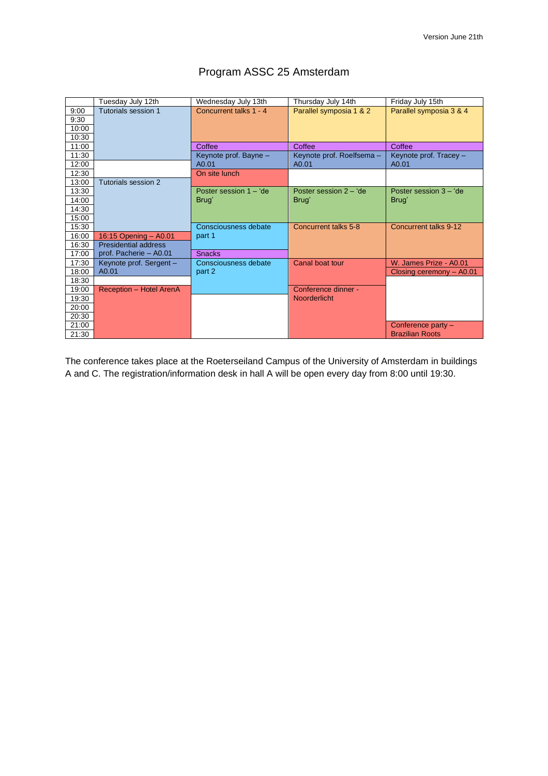<span id="page-0-0"></span>

|       | Tuesday July 12th           | Wednesday July 13th    | Thursday July 14th        | Friday July 15th         |
|-------|-----------------------------|------------------------|---------------------------|--------------------------|
| 9:00  | Tutorials session 1         | Concurrent talks 1 - 4 | Parallel symposia 1 & 2   | Parallel symposia 3 & 4  |
| 9:30  |                             |                        |                           |                          |
| 10:00 |                             |                        |                           |                          |
| 10:30 |                             |                        |                           |                          |
| 11:00 |                             | Coffee                 | Coffee                    | Coffee                   |
| 11:30 |                             | Keynote prof. Bayne -  | Keynote prof. Roelfsema - | Keynote prof. Tracey -   |
| 12:00 |                             | A0.01                  | A0.01                     | A0.01                    |
| 12:30 |                             | On site lunch          |                           |                          |
| 13:00 | Tutorials session 2         |                        |                           |                          |
| 13:30 |                             | Poster session 1 - 'de | Poster session 2 - 'de    | Poster session $3 - 4$   |
| 14:00 |                             | Brug'                  | Brug'                     | Brug'                    |
| 14:30 |                             |                        |                           |                          |
| 15:00 |                             |                        |                           |                          |
| 15:30 |                             | Consciousness debate   | Concurrent talks 5-8      | Concurrent talks 9-12    |
| 16:00 | 16:15 Opening - A0.01       | part 1                 |                           |                          |
| 16:30 | <b>Presidential address</b> |                        |                           |                          |
| 17:00 | prof. Pacherie - A0.01      | <b>Snacks</b>          |                           |                          |
| 17:30 | Keynote prof. Sergent -     | Consciousness debate   | Canal boat tour           | W. James Prize - A0.01   |
| 18:00 | A0.01                       | part 2                 |                           | Closing ceremony - A0.01 |
| 18:30 |                             |                        |                           |                          |
| 19:00 | Reception - Hotel ArenA     |                        | Conference dinner -       |                          |
| 19:30 |                             |                        | <b>Noorderlicht</b>       |                          |
| 20:00 |                             |                        |                           |                          |
| 20:30 |                             |                        |                           |                          |
| 21:00 |                             |                        |                           | Conference party -       |
| 21:30 |                             |                        |                           | <b>Brazilian Roots</b>   |

# Program ASSC 25 Amsterdam

The conference takes place at the Roeterseiland Campus of the University of Amsterdam in buildings A and C. The registration/information desk in hall A will be open every day from 8:00 until 19:30.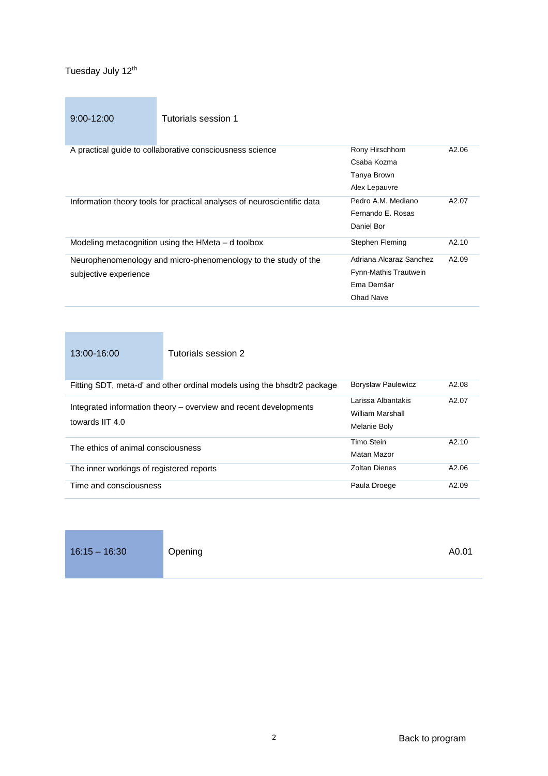<span id="page-1-1"></span><span id="page-1-0"></span>9:00-12:00 Tutorials session 1

| A practical quide to collaborative consciousness science                | Rony Hirschhorn         | A2.06 |
|-------------------------------------------------------------------------|-------------------------|-------|
|                                                                         | Csaba Kozma             |       |
|                                                                         | Tanya Brown             |       |
|                                                                         | Alex Lepauvre           |       |
| Information theory tools for practical analyses of neuroscientific data | Pedro A.M. Mediano      | A2.07 |
|                                                                         | Fernando E. Rosas       |       |
|                                                                         | Daniel Bor              |       |
| Modeling metacognition using the HMeta – d toolbox                      | Stephen Fleming         | A2.10 |
| Neurophenomenology and micro-phenomenology to the study of the          | Adriana Alcaraz Sanchez | A2.09 |
| subjective experience                                                   | Fynn-Mathis Trautwein   |       |
|                                                                         |                         |       |
|                                                                         | Ema Demšar              |       |
|                                                                         | Ohad Nave               |       |

<span id="page-1-2"></span>

| 13:00-16:00                              | Tutorials session 2                                                     |                                                        |                   |
|------------------------------------------|-------------------------------------------------------------------------|--------------------------------------------------------|-------------------|
|                                          | Fitting SDT, meta-d' and other ordinal models using the bhsdtr2 package | <b>Borysław Paulewicz</b>                              | A2.08             |
| towards IIT 4.0                          | Integrated information theory – overview and recent developments        | Larissa Albantakis<br>William Marshall<br>Melanie Boly | A2.07             |
| The ethics of animal consciousness       |                                                                         | Timo Stein<br>Matan Mazor                              | A2.10             |
| The inner workings of registered reports |                                                                         | Zoltan Dienes                                          | A2.06             |
| Time and consciousness                   |                                                                         | Paula Droege                                           | A <sub>2.09</sub> |

16:15 – 16:30 **Opening AD.01** Application Application Application Application Application Application Application Application Application Application Application Application Application Application Application Application

<span id="page-1-3"></span>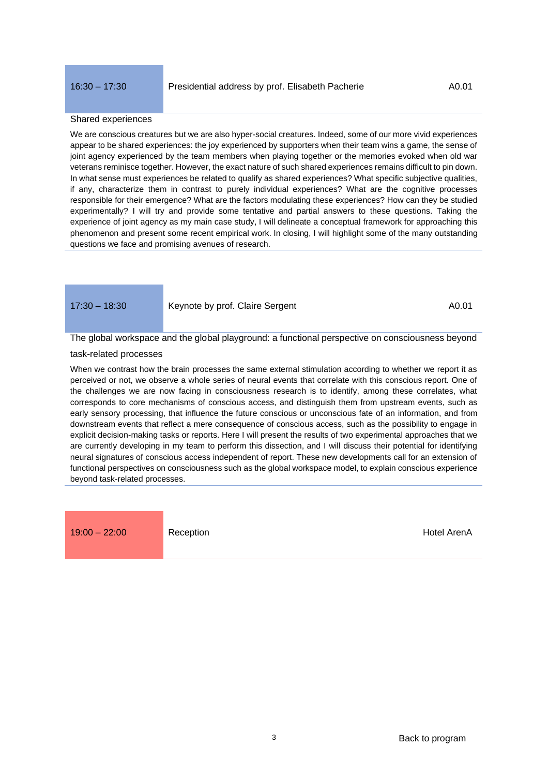### <span id="page-2-0"></span>Shared experiences

We are conscious creatures but we are also hyper-social creatures. Indeed, some of our more vivid experiences appear to be shared experiences: the joy experienced by supporters when their team wins a game, the sense of joint agency experienced by the team members when playing together or the memories evoked when old war veterans reminisce together. However, the exact nature of such shared experiences remains difficult to pin down. In what sense must experiences be related to qualify as shared experiences? What specific subjective qualities, if any, characterize them in contrast to purely individual experiences? What are the cognitive processes responsible for their emergence? What are the factors modulating these experiences? How can they be studied experimentally? I will try and provide some tentative and partial answers to these questions. Taking the experience of joint agency as my main case study, I will delineate a conceptual framework for approaching this phenomenon and present some recent empirical work. In closing, I will highlight some of the many outstanding questions we face and promising avenues of research.

<span id="page-2-1"></span>

#### 17:30 – 18:30 Keynote by prof. Claire Sergent A0.01

# The global workspace and the global playground: a functional perspective on consciousness beyond

#### task-related processes

When we contrast how the brain processes the same external stimulation according to whether we report it as perceived or not, we observe a whole series of neural events that correlate with this conscious report. One of the challenges we are now facing in consciousness research is to identify, among these correlates, what corresponds to core mechanisms of conscious access, and distinguish them from upstream events, such as early sensory processing, that influence the future conscious or unconscious fate of an information, and from downstream events that reflect a mere consequence of conscious access, such as the possibility to engage in explicit decision-making tasks or reports. Here I will present the results of two experimental approaches that we are currently developing in my team to perform this dissection, and I will discuss their potential for identifying neural signatures of conscious access independent of report. These new developments call for an extension of functional perspectives on consciousness such as the global workspace model, to explain conscious experience beyond task-related processes.

19:00 – 22:00 Reception **Reception** [Hotel ArenA](https://www.hotelarena.nl/en)

<span id="page-2-2"></span>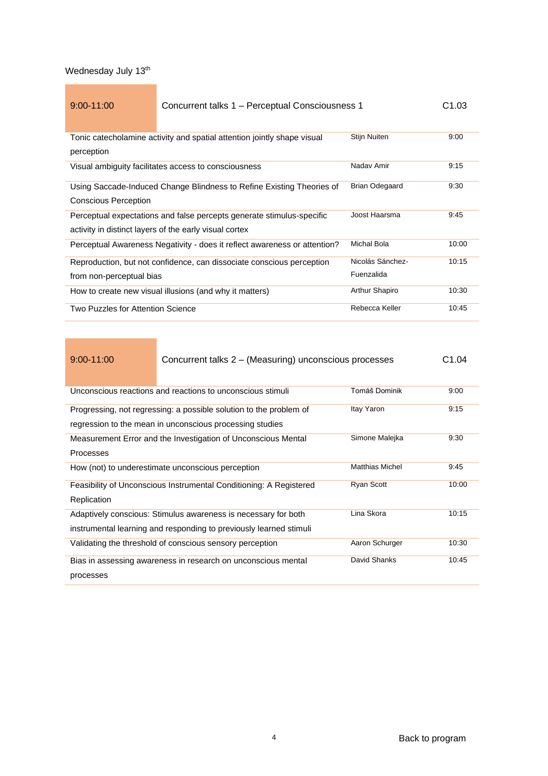<span id="page-3-1"></span><span id="page-3-0"></span>

| $9:00 - 11:00$                    | Concurrent talks 1 – Perceptual Consciousness 1                           |                       | C1.03 |
|-----------------------------------|---------------------------------------------------------------------------|-----------------------|-------|
|                                   |                                                                           | Stijn Nuiten          | 9:00  |
|                                   | Tonic catecholamine activity and spatial attention jointly shape visual   |                       |       |
| perception                        |                                                                           |                       |       |
|                                   | Visual ambiguity facilitates access to consciousness                      | Naday Amir            | 9:15  |
|                                   | Using Saccade-Induced Change Blindness to Refine Existing Theories of     | <b>Brian Odegaard</b> | 9:30  |
| <b>Conscious Perception</b>       |                                                                           |                       |       |
|                                   | Perceptual expectations and false percepts generate stimulus-specific     | Joost Haarsma         | 9:45  |
|                                   | activity in distinct layers of the early visual cortex                    |                       |       |
|                                   | Perceptual Awareness Negativity - does it reflect awareness or attention? | Michal Bola           | 10:00 |
|                                   | Reproduction, but not confidence, can dissociate conscious perception     | Nicolás Sánchez-      | 10:15 |
| from non-perceptual bias          |                                                                           | Fuenzalida            |       |
|                                   | How to create new visual illusions (and why it matters)                   | Arthur Shapiro        | 10:30 |
| Two Puzzles for Attention Science |                                                                           | Rebecca Keller        | 10:45 |

| $9:00 - 11:00$   | Concurrent talks 2 – (Measuring) unconscious processes             |                        | C1.04 |
|------------------|--------------------------------------------------------------------|------------------------|-------|
|                  | Unconscious reactions and reactions to unconscious stimuli         | Tomáš Dominik          | 9:00  |
|                  |                                                                    |                        |       |
|                  | Progressing, not regressing: a possible solution to the problem of | Itay Yaron             | 9:15  |
|                  | regression to the mean in unconscious processing studies           |                        |       |
|                  | Measurement Error and the Investigation of Unconscious Mental      | Simone Malejka         | 9:30  |
| <b>Processes</b> |                                                                    |                        |       |
|                  | How (not) to underestimate unconscious perception                  | <b>Matthias Michel</b> | 9:45  |
|                  | Feasibility of Unconscious Instrumental Conditioning: A Registered | <b>Ryan Scott</b>      | 10:00 |
| Replication      |                                                                    |                        |       |
|                  | Adaptively conscious: Stimulus awareness is necessary for both     | Lina Skora             | 10:15 |
|                  | instrumental learning and responding to previously learned stimuli |                        |       |
|                  | Validating the threshold of conscious sensory perception           | Aaron Schurger         | 10:30 |
|                  | Bias in assessing awareness in research on unconscious mental      | David Shanks           | 10:45 |
| processes        |                                                                    |                        |       |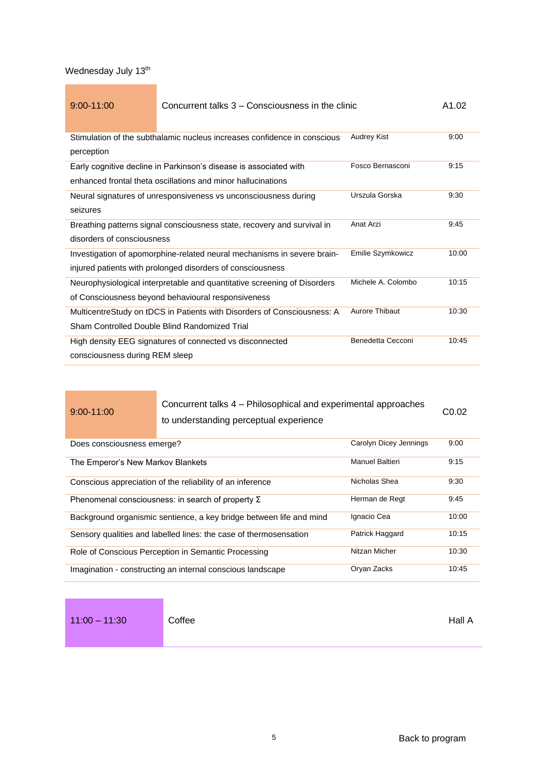| $9:00 - 11:00$                 | Concurrent talks 3 – Consciousness in the clinic                         |                    | A1.02 |
|--------------------------------|--------------------------------------------------------------------------|--------------------|-------|
|                                | Stimulation of the subthalamic nucleus increases confidence in conscious | <b>Audrey Kist</b> | 9:00  |
| perception                     |                                                                          |                    |       |
|                                | Early cognitive decline in Parkinson's disease is associated with        | Fosco Bernasconi   | 9:15  |
|                                | enhanced frontal theta oscillations and minor hallucinations             |                    |       |
|                                | Neural signatures of unresponsiveness vs unconsciousness during          | Urszula Gorska     | 9:30  |
| seizures                       |                                                                          |                    |       |
|                                | Breathing patterns signal consciousness state, recovery and survival in  | Anat Arzi          | 9:45  |
| disorders of consciousness     |                                                                          |                    |       |
|                                | Investigation of apomorphine-related neural mechanisms in severe brain-  | Emilie Szymkowicz  | 10:00 |
|                                | injured patients with prolonged disorders of consciousness               |                    |       |
|                                | Neurophysiological interpretable and quantitative screening of Disorders | Michele A. Colombo | 10:15 |
|                                | of Consciousness beyond behavioural responsiveness                       |                    |       |
|                                | MulticentreStudy on tDCS in Patients with Disorders of Consciousness: A  | Aurore Thibaut     | 10:30 |
|                                | Sham Controlled Double Blind Randomized Trial                            |                    |       |
|                                | High density EEG signatures of connected vs disconnected                 | Benedetta Cecconi  | 10:45 |
| consciousness during REM sleep |                                                                          |                    |       |

### 9:00-11:00

Concurrent talks 4 – Philosophical and experimental approaches to understanding perceptual experience C0.02

| Does consciousness emerge?                                          | Carolyn Dicey Jennings | 9:00  |
|---------------------------------------------------------------------|------------------------|-------|
| The Emperor's New Markov Blankets                                   | <b>Manuel Baltieri</b> | 9:15  |
| Conscious appreciation of the reliability of an inference           | Nicholas Shea          | 9:30  |
| Phenomenal consciousness: in search of property $\Sigma$            | Herman de Regt         | 9:45  |
| Background organismic sentience, a key bridge between life and mind | Ignacio Cea            | 10:00 |
| Sensory qualities and labelled lines: the case of thermosensation   | Patrick Haggard        | 10:15 |
| Role of Conscious Perception in Semantic Processing                 | Nitzan Micher          | 10:30 |
| Imagination - constructing an internal conscious landscape          | Oryan Zacks            | 10:45 |

<span id="page-4-0"></span>

| $11:00 - 11:30$ | Coffee | Hall A |
|-----------------|--------|--------|
|-----------------|--------|--------|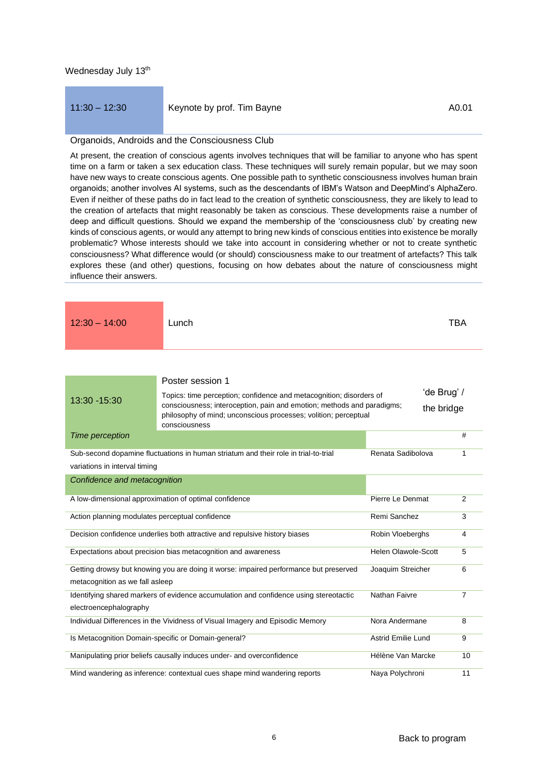## <span id="page-5-0"></span>11:30 – 12:30 Keynote by prof. Tim Bayne A0.01

#### Organoids, Androids and the Consciousness Club

<span id="page-5-2"></span><span id="page-5-1"></span>**Poster session 1** 

At present, the creation of conscious agents involves techniques that will be familiar to anyone who has spent time on a farm or taken a sex education class. These techniques will surely remain popular, but we may soon have new ways to create conscious agents. One possible path to synthetic consciousness involves human brain organoids; another involves AI systems, such as the descendants of IBM's Watson and DeepMind's AlphaZero. Even if neither of these paths do in fact lead to the creation of synthetic consciousness, they are likely to lead to the creation of artefacts that might reasonably be taken as conscious. These developments raise a number of deep and difficult questions. Should we expand the membership of the 'consciousness club' by creating new kinds of conscious agents, or would any attempt to bring new kinds of conscious entities into existence be morally problematic? Whose interests should we take into account in considering whether or not to create synthetic consciousness? What difference would (or should) consciousness make to our treatment of artefacts? This talk explores these (and other) questions, focusing on how debates about the nature of consciousness might influence their answers.

| $12:30 - 14:00$ | Lunch |  |  | <b>TBA</b> |
|-----------------|-------|--|--|------------|
|-----------------|-------|--|--|------------|

|                                                 | outor ocooron i                                                                                                                               |                            |                |
|-------------------------------------------------|-----------------------------------------------------------------------------------------------------------------------------------------------|----------------------------|----------------|
| 13:30 - 15:30                                   | Topics: time perception; confidence and metacognition; disorders of<br>consciousness; interoception, pain and emotion; methods and paradigms; | 'de Brug' /                |                |
|                                                 | philosophy of mind; unconscious processes; volition; perceptual<br>consciousness                                                              | the bridge                 |                |
| Time perception                                 |                                                                                                                                               |                            | #              |
|                                                 | Sub-second dopamine fluctuations in human striatum and their role in trial-to-trial                                                           | Renata Sadibolova          | 1              |
| variations in interval timing                   |                                                                                                                                               |                            |                |
| Confidence and metacognition                    |                                                                                                                                               |                            |                |
|                                                 | A low-dimensional approximation of optimal confidence                                                                                         | Pierre Le Denmat           | $\overline{2}$ |
| Action planning modulates perceptual confidence |                                                                                                                                               | Remi Sanchez               | 3              |
|                                                 | Decision confidence underlies both attractive and repulsive history biases                                                                    | Robin Vloeberghs           | 4              |
|                                                 | Expectations about precision bias metacognition and awareness                                                                                 | <b>Helen Olawole-Scott</b> | 5              |
|                                                 | Getting drowsy but knowing you are doing it worse: impaired performance but preserved                                                         | Joaquim Streicher          | 6              |
| metacognition as we fall asleep                 |                                                                                                                                               |                            |                |
|                                                 | Identifying shared markers of evidence accumulation and confidence using stereotactic                                                         | Nathan Faivre              | 7              |
| electroencephalography                          |                                                                                                                                               |                            |                |
|                                                 | Individual Differences in the Vividness of Visual Imagery and Episodic Memory                                                                 | Nora Andermane             | 8              |
|                                                 | Is Metacognition Domain-specific or Domain-general?                                                                                           | <b>Astrid Emilie Lund</b>  | 9              |
|                                                 | Manipulating prior beliefs causally induces under- and overconfidence                                                                         | Hélène Van Marcke          | 10             |
|                                                 | Mind wandering as inference: contextual cues shape mind wandering reports                                                                     | Naya Polychroni            | 11             |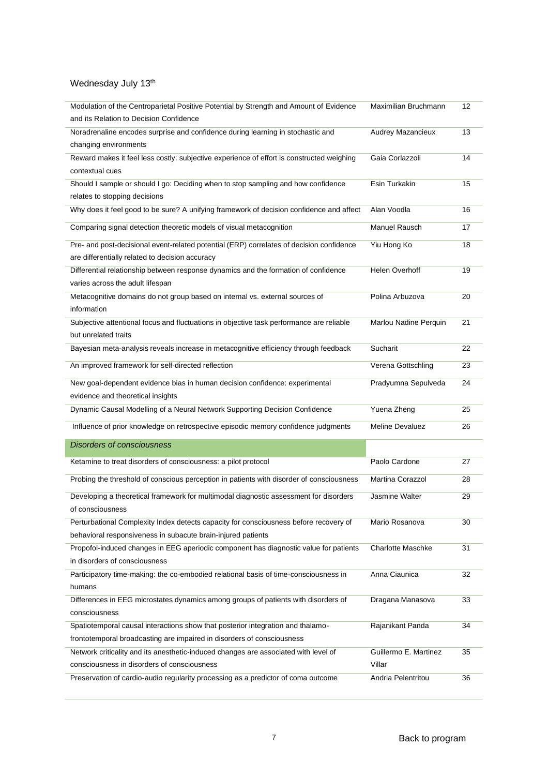| Modulation of the Centroparietal Positive Potential by Strength and Amount of Evidence<br>and its Relation to Decision Confidence                     | Maximilian Bruchmann            | 12 |
|-------------------------------------------------------------------------------------------------------------------------------------------------------|---------------------------------|----|
| Noradrenaline encodes surprise and confidence during learning in stochastic and<br>changing environments                                              | Audrey Mazancieux               | 13 |
| Reward makes it feel less costly: subjective experience of effort is constructed weighing<br>contextual cues                                          | Gaia Corlazzoli                 | 14 |
| Should I sample or should I go: Deciding when to stop sampling and how confidence<br>relates to stopping decisions                                    | Esin Turkakin                   | 15 |
| Why does it feel good to be sure? A unifying framework of decision confidence and affect                                                              | Alan Voodla                     | 16 |
| Comparing signal detection theoretic models of visual metacognition                                                                                   | Manuel Rausch                   | 17 |
| Pre- and post-decisional event-related potential (ERP) correlates of decision confidence<br>are differentially related to decision accuracy           | Yiu Hong Ko                     | 18 |
| Differential relationship between response dynamics and the formation of confidence<br>varies across the adult lifespan                               | Helen Overhoff                  | 19 |
| Metacognitive domains do not group based on internal vs. external sources of<br>information                                                           | Polina Arbuzova                 | 20 |
| Subjective attentional focus and fluctuations in objective task performance are reliable<br>but unrelated traits                                      | Marlou Nadine Perquin           | 21 |
| Bayesian meta-analysis reveals increase in metacognitive efficiency through feedback                                                                  | Sucharit                        | 22 |
| An improved framework for self-directed reflection                                                                                                    | Verena Gottschling              | 23 |
| New goal-dependent evidence bias in human decision confidence: experimental<br>evidence and theoretical insights                                      | Pradyumna Sepulveda             | 24 |
| Dynamic Causal Modelling of a Neural Network Supporting Decision Confidence                                                                           | Yuena Zheng                     | 25 |
| Influence of prior knowledge on retrospective episodic memory confidence judgments                                                                    | <b>Meline Devaluez</b>          | 26 |
| <b>Disorders of consciousness</b>                                                                                                                     |                                 |    |
| Ketamine to treat disorders of consciousness: a pilot protocol                                                                                        | Paolo Cardone                   | 27 |
| Probing the threshold of conscious perception in patients with disorder of consciousness                                                              | <b>Martina Corazzol</b>         | 28 |
| Developing a theoretical framework for multimodal diagnostic assessment for disorders<br>of consciousness                                             | <b>Jasmine Walter</b>           | 29 |
| Perturbational Complexity Index detects capacity for consciousness before recovery of<br>behavioral responsiveness in subacute brain-injured patients | Mario Rosanova                  | 30 |
| Propofol-induced changes in EEG aperiodic component has diagnostic value for patients<br>in disorders of consciousness                                | <b>Charlotte Maschke</b>        | 31 |
| Participatory time-making: the co-embodied relational basis of time-consciousness in<br>humans                                                        | Anna Ciaunica                   | 32 |
| Differences in EEG microstates dynamics among groups of patients with disorders of<br>consciousness                                                   | Dragana Manasova                | 33 |
| Spatiotemporal causal interactions show that posterior integration and thalamo-                                                                       | Rajanikant Panda                | 34 |
| frontotemporal broadcasting are impaired in disorders of consciousness                                                                                |                                 |    |
| Network criticality and its anesthetic-induced changes are associated with level of<br>consciousness in disorders of consciousness                    | Guillermo E. Martinez<br>Villar | 35 |
| Preservation of cardio-audio regularity processing as a predictor of coma outcome                                                                     | Andria Pelentritou              | 36 |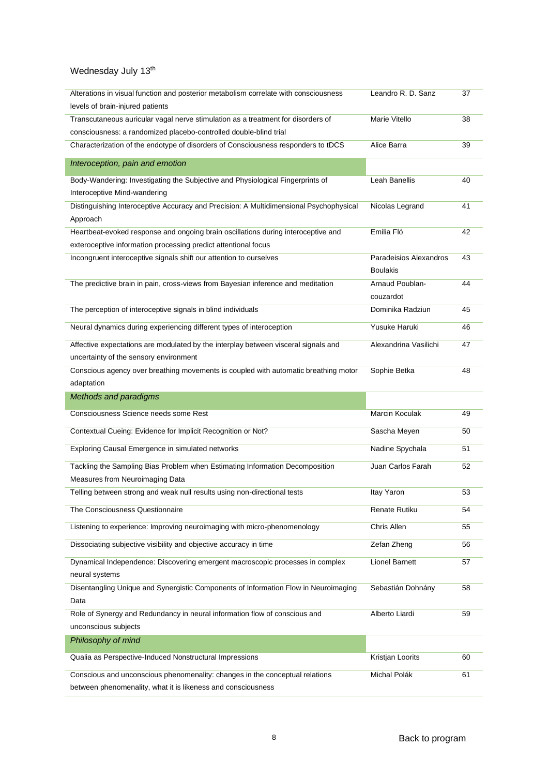| Alterations in visual function and posterior metabolism correlate with consciousness                                                         | Leandro R. D. Sanz     | 37 |
|----------------------------------------------------------------------------------------------------------------------------------------------|------------------------|----|
| levels of brain-injured patients                                                                                                             |                        |    |
| Transcutaneous auricular vagal nerve stimulation as a treatment for disorders of                                                             | Marie Vitello          | 38 |
| consciousness: a randomized placebo-controlled double-blind trial                                                                            |                        |    |
| Characterization of the endotype of disorders of Consciousness responders to tDCS                                                            | Alice Barra            | 39 |
| Interoception, pain and emotion                                                                                                              |                        |    |
| Body-Wandering: Investigating the Subjective and Physiological Fingerprints of                                                               | <b>Leah Banellis</b>   | 40 |
| Interoceptive Mind-wandering                                                                                                                 |                        |    |
| Distinguishing Interoceptive Accuracy and Precision: A Multidimensional Psychophysical                                                       | Nicolas Legrand        | 41 |
| Approach                                                                                                                                     |                        |    |
| Heartbeat-evoked response and ongoing brain oscillations during interoceptive and                                                            | Emilia Fló             | 42 |
| exteroceptive information processing predict attentional focus                                                                               |                        |    |
| Incongruent interoceptive signals shift our attention to ourselves                                                                           | Paradeisios Alexandros | 43 |
|                                                                                                                                              | <b>Boulakis</b>        |    |
| The predictive brain in pain, cross-views from Bayesian inference and meditation                                                             | Arnaud Poublan-        | 44 |
|                                                                                                                                              | couzardot              |    |
| The perception of interoceptive signals in blind individuals                                                                                 | Dominika Radziun       | 45 |
| Neural dynamics during experiencing different types of interoception                                                                         | Yusuke Haruki          | 46 |
| Affective expectations are modulated by the interplay between visceral signals and                                                           | Alexandrina Vasilichi  | 47 |
| uncertainty of the sensory environment                                                                                                       |                        |    |
| Conscious agency over breathing movements is coupled with automatic breathing motor                                                          | Sophie Betka           | 48 |
| adaptation                                                                                                                                   |                        |    |
| Methods and paradigms                                                                                                                        |                        |    |
|                                                                                                                                              |                        |    |
| Consciousness Science needs some Rest                                                                                                        | Marcin Koculak         | 49 |
| Contextual Cueing: Evidence for Implicit Recognition or Not?                                                                                 | Sascha Meyen           | 50 |
| Exploring Causal Emergence in simulated networks                                                                                             | Nadine Spychala        | 51 |
| Tackling the Sampling Bias Problem when Estimating Information Decomposition                                                                 | Juan Carlos Farah      | 52 |
| Measures from Neuroimaging Data                                                                                                              |                        |    |
| Telling between strong and weak null results using non-directional tests                                                                     | Itay Yaron             | 53 |
|                                                                                                                                              |                        |    |
| The Consciousness Questionnaire                                                                                                              | Renate Rutiku          | 54 |
| Listening to experience: Improving neuroimaging with micro-phenomenology                                                                     | Chris Allen            | 55 |
| Dissociating subjective visibility and objective accuracy in time                                                                            | Zefan Zheng            | 56 |
| Dynamical Independence: Discovering emergent macroscopic processes in complex                                                                | <b>Lionel Barnett</b>  | 57 |
| neural systems                                                                                                                               |                        |    |
| Disentangling Unique and Synergistic Components of Information Flow in Neuroimaging                                                          | Sebastián Dohnány      | 58 |
| Data                                                                                                                                         |                        |    |
| Role of Synergy and Redundancy in neural information flow of conscious and                                                                   | Alberto Liardi         | 59 |
| unconscious subjects                                                                                                                         |                        |    |
| Philosophy of mind                                                                                                                           |                        |    |
| Qualia as Perspective-Induced Nonstructural Impressions                                                                                      | Kristjan Loorits       | 60 |
| Conscious and unconscious phenomenality: changes in the conceptual relations<br>between phenomenality, what it is likeness and consciousness | Michal Polák           | 61 |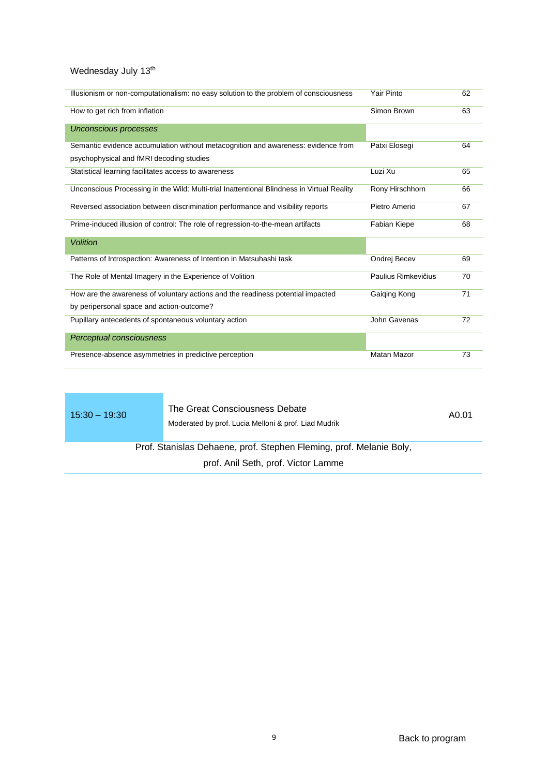| Illusionism or non-computationalism: no easy solution to the problem of consciousness      | Yair Pinto          | 62 |
|--------------------------------------------------------------------------------------------|---------------------|----|
| How to get rich from inflation                                                             | Simon Brown         | 63 |
| <b>Unconscious processes</b>                                                               |                     |    |
| Semantic evidence accumulation without metacognition and awareness: evidence from          | Patxi Elosegi       | 64 |
| psychophysical and fMRI decoding studies                                                   |                     |    |
| Statistical learning facilitates access to awareness                                       | Luzi Xu             | 65 |
| Unconscious Processing in the Wild: Multi-trial Inattentional Blindness in Virtual Reality | Rony Hirschhorn     | 66 |
| Reversed association between discrimination performance and visibility reports             | Pietro Amerio       | 67 |
| Prime-induced illusion of control: The role of regression-to-the-mean artifacts            | <b>Fabian Kiepe</b> | 68 |
| <b>Volition</b>                                                                            |                     |    |
| Patterns of Introspection: Awareness of Intention in Matsuhashi task                       | Ondrej Becev        | 69 |
| The Role of Mental Imagery in the Experience of Volition                                   | Paulius Rimkevičius | 70 |
| How are the awareness of voluntary actions and the readiness potential impacted            | Gaiqing Kong        | 71 |
| by peripersonal space and action-outcome?                                                  |                     |    |
| Pupillary antecedents of spontaneous voluntary action                                      | John Gavenas        | 72 |
| Perceptual consciousness                                                                   |                     |    |
| Presence-absence asymmetries in predictive perception                                      | <b>Matan Mazor</b>  | 73 |

15:30 – 19:30 The Great Consciousness Debate Moderated by prof. Lucia Melloni & prof. Liad Mudrik

A0.01

<span id="page-8-0"></span>Prof. Stanislas Dehaene, prof. Stephen Fleming, prof. Melanie Boly,

prof. Anil Seth, prof. Victor Lamme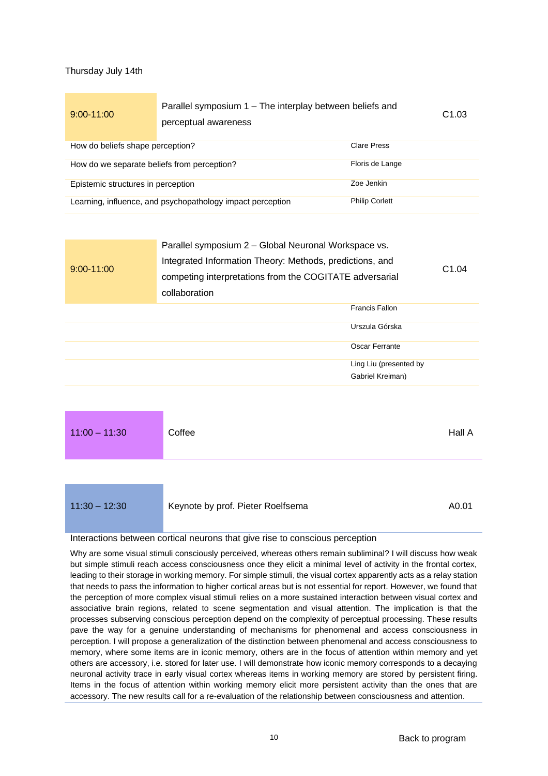### <span id="page-9-0"></span>Thursday July 14th

<span id="page-9-1"></span>

| $9:00 - 11:00$                                                                      | Parallel symposium 1 – The interplay between beliefs and<br>perceptual awareness |                    | C1.03 |
|-------------------------------------------------------------------------------------|----------------------------------------------------------------------------------|--------------------|-------|
| How do beliefs shape perception?                                                    |                                                                                  | <b>Clare Press</b> |       |
| How do we separate beliefs from perception?<br>Floris de Lange                      |                                                                                  |                    |       |
| Epistemic structures in perception                                                  |                                                                                  | Zoe Jenkin         |       |
| <b>Philip Corlett</b><br>Learning, influence, and psychopathology impact perception |                                                                                  |                    |       |
|                                                                                     |                                                                                  |                    |       |

| $9:00 - 11:00$ | Parallel symposium 2 - Global Neuronal Workspace vs.<br>Integrated Information Theory: Methods, predictions, and<br>competing interpretations from the COGITATE adversarial<br>collaboration |                        | C1.04 |
|----------------|----------------------------------------------------------------------------------------------------------------------------------------------------------------------------------------------|------------------------|-------|
|                |                                                                                                                                                                                              | <b>Francis Fallon</b>  |       |
|                |                                                                                                                                                                                              | Urszula Górska         |       |
|                |                                                                                                                                                                                              | Oscar Ferrante         |       |
|                |                                                                                                                                                                                              | Ling Liu (presented by |       |
|                |                                                                                                                                                                                              | Gabriel Kreiman)       |       |

<span id="page-9-2"></span>

| $11:00 - 11:30$ | Coffee                            | Hall A |
|-----------------|-----------------------------------|--------|
|                 |                                   |        |
| $11:30 - 12:30$ | Keynote by prof. Pieter Roelfsema | A0.01  |

#### <span id="page-9-3"></span>Interactions between cortical neurons that give rise to conscious perception

Why are some visual stimuli consciously perceived, whereas others remain subliminal? I will discuss how weak but simple stimuli reach access consciousness once they elicit a minimal level of activity in the frontal cortex, leading to their storage in working memory. For simple stimuli, the visual cortex apparently acts as a relay station that needs to pass the information to higher cortical areas but is not essential for report. However, we found that the perception of more complex visual stimuli relies on a more sustained interaction between visual cortex and associative brain regions, related to scene segmentation and visual attention. The implication is that the processes subserving conscious perception depend on the complexity of perceptual processing. These results pave the way for a genuine understanding of mechanisms for phenomenal and access consciousness in perception. I will propose a generalization of the distinction between phenomenal and access consciousness to memory, where some items are in iconic memory, others are in the focus of attention within memory and yet others are accessory, i.e. stored for later use. I will demonstrate how iconic memory corresponds to a decaying neuronal activity trace in early visual cortex whereas items in working memory are stored by persistent firing. Items in the focus of attention within working memory elicit more persistent activity than the ones that are accessory. The new results call for a re-evaluation of the relationship between consciousness and attention.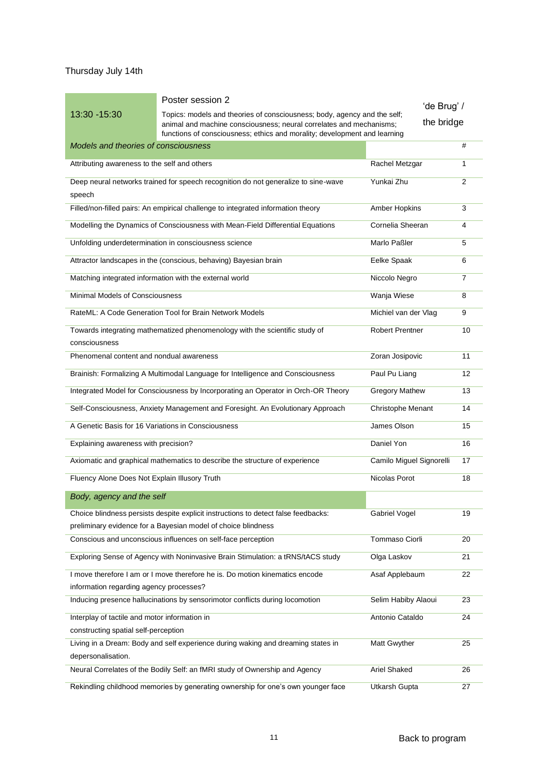## Thursday July 14th

<span id="page-10-0"></span>

|                                                                                       | Poster session 2                                                                                                                                                                                                             | 'de Brug' /              |                |
|---------------------------------------------------------------------------------------|------------------------------------------------------------------------------------------------------------------------------------------------------------------------------------------------------------------------------|--------------------------|----------------|
| 13:30 - 15:30                                                                         | Topics: models and theories of consciousness; body, agency and the self;<br>animal and machine consciousness; neural correlates and mechanisms;<br>functions of consciousness; ethics and morality; development and learning | the bridge               |                |
| Models and theories of consciousness                                                  |                                                                                                                                                                                                                              |                          | #              |
| Attributing awareness to the self and others                                          |                                                                                                                                                                                                                              | Rachel Metzgar           | 1              |
| speech                                                                                | Deep neural networks trained for speech recognition do not generalize to sine-wave                                                                                                                                           | Yunkai Zhu               | $\overline{2}$ |
|                                                                                       | Filled/non-filled pairs: An empirical challenge to integrated information theory                                                                                                                                             | Amber Hopkins            | 3              |
|                                                                                       | Modelling the Dynamics of Consciousness with Mean-Field Differential Equations                                                                                                                                               | Cornelia Sheeran         | 4              |
|                                                                                       | Unfolding underdetermination in consciousness science                                                                                                                                                                        | Marlo Paßler             | 5              |
|                                                                                       | Attractor landscapes in the (conscious, behaving) Bayesian brain                                                                                                                                                             | Eelke Spaak              | 6              |
|                                                                                       | Matching integrated information with the external world                                                                                                                                                                      | Niccolo Negro            | $\overline{7}$ |
| Minimal Models of Consciousness                                                       |                                                                                                                                                                                                                              | Wanja Wiese              | 8              |
|                                                                                       | RateML: A Code Generation Tool for Brain Network Models                                                                                                                                                                      | Michiel van der Vlag     | 9              |
| consciousness                                                                         | Towards integrating mathematized phenomenology with the scientific study of                                                                                                                                                  | <b>Robert Prentner</b>   | 10             |
| Phenomenal content and nondual awareness                                              |                                                                                                                                                                                                                              | Zoran Josipovic          | 11             |
|                                                                                       | Brainish: Formalizing A Multimodal Language for Intelligence and Consciousness                                                                                                                                               | Paul Pu Liang            | 12             |
|                                                                                       | Integrated Model for Consciousness by Incorporating an Operator in Orch-OR Theory                                                                                                                                            | <b>Gregory Mathew</b>    | 13             |
|                                                                                       | Self-Consciousness, Anxiety Management and Foresight. An Evolutionary Approach                                                                                                                                               | <b>Christophe Menant</b> | 14             |
| A Genetic Basis for 16 Variations in Consciousness                                    |                                                                                                                                                                                                                              | James Olson              | 15             |
| Explaining awareness with precision?                                                  |                                                                                                                                                                                                                              | Daniel Yon               | 16             |
|                                                                                       | Axiomatic and graphical mathematics to describe the structure of experience                                                                                                                                                  | Camilo Miguel Signorelli | 17             |
| Fluency Alone Does Not Explain Illusory Truth                                         |                                                                                                                                                                                                                              | Nicolas Porot            | 18             |
| Body, agency and the self                                                             |                                                                                                                                                                                                                              |                          |                |
|                                                                                       | Choice blindness persists despite explicit instructions to detect false feedbacks:<br>preliminary evidence for a Bayesian model of choice blindness                                                                          | Gabriel Vogel            | 19             |
|                                                                                       | Conscious and unconscious influences on self-face perception                                                                                                                                                                 | Tommaso Ciorli           | 20             |
|                                                                                       | Exploring Sense of Agency with Noninvasive Brain Stimulation: a tRNS/tACS study                                                                                                                                              | Olga Laskov              | 21             |
| information regarding agency processes?                                               | I move therefore I am or I move therefore he is. Do motion kinematics encode                                                                                                                                                 | Asaf Applebaum           | 22             |
|                                                                                       | Inducing presence hallucinations by sensorimotor conflicts during locomotion                                                                                                                                                 | Selim Habiby Alaoui      | 23             |
| Interplay of tactile and motor information in<br>constructing spatial self-perception |                                                                                                                                                                                                                              | Antonio Cataldo          | 24             |
| depersonalisation.                                                                    | Living in a Dream: Body and self experience during waking and dreaming states in                                                                                                                                             | Matt Gwyther             | 25             |
|                                                                                       | Neural Correlates of the Bodily Self: an fMRI study of Ownership and Agency                                                                                                                                                  | Ariel Shaked             | 26             |
|                                                                                       | Rekindling childhood memories by generating ownership for one's own younger face                                                                                                                                             | Utkarsh Gupta            | 27             |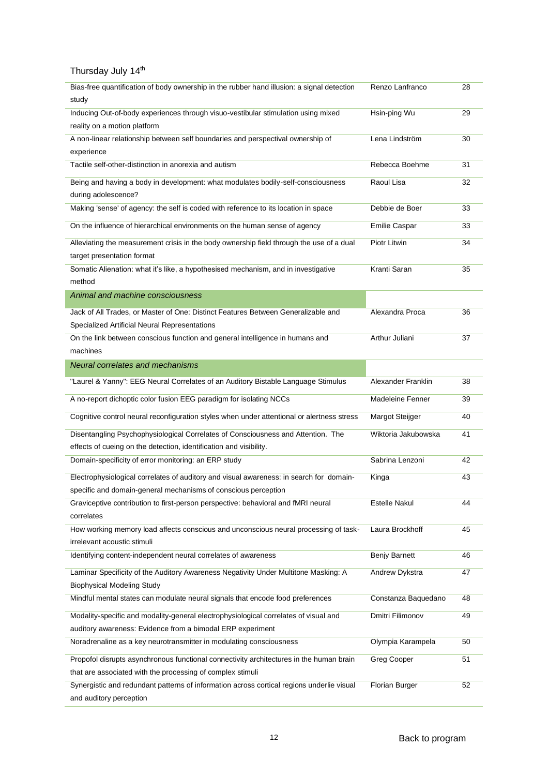| Bias-free quantification of body ownership in the rubber hand illusion: a signal detection    | Renzo Lanfranco         | 28 |
|-----------------------------------------------------------------------------------------------|-------------------------|----|
| study                                                                                         |                         |    |
| Inducing Out-of-body experiences through visuo-vestibular stimulation using mixed             | Hsin-ping Wu            | 29 |
| reality on a motion platform                                                                  |                         |    |
| A non-linear relationship between self boundaries and perspectival ownership of               | Lena Lindström          | 30 |
| experience                                                                                    |                         |    |
| Tactile self-other-distinction in anorexia and autism                                         | Rebecca Boehme          | 31 |
| Being and having a body in development: what modulates bodily-self-consciousness              | Raoul Lisa              | 32 |
| during adolescence?                                                                           |                         |    |
| Making 'sense' of agency: the self is coded with reference to its location in space           | Debbie de Boer          | 33 |
| On the influence of hierarchical environments on the human sense of agency                    | <b>Emilie Caspar</b>    | 33 |
| Alleviating the measurement crisis in the body ownership field through the use of a dual      | Piotr Litwin            | 34 |
| target presentation format                                                                    |                         |    |
| Somatic Alienation: what it's like, a hypothesised mechanism, and in investigative            | Kranti Saran            | 35 |
| method                                                                                        |                         |    |
| Animal and machine consciousness                                                              |                         |    |
| Jack of All Trades, or Master of One: Distinct Features Between Generalizable and             | Alexandra Proca         | 36 |
| Specialized Artificial Neural Representations                                                 |                         |    |
| On the link between conscious function and general intelligence in humans and                 | Arthur Juliani          | 37 |
| machines                                                                                      |                         |    |
| Neural correlates and mechanisms                                                              |                         |    |
| "Laurel & Yanny": EEG Neural Correlates of an Auditory Bistable Language Stimulus             | Alexander Franklin      | 38 |
| A no-report dichoptic color fusion EEG paradigm for isolating NCCs                            | <b>Madeleine Fenner</b> | 39 |
| Cognitive control neural reconfiguration styles when under attentional or alertness stress    | Margot Steijger         | 40 |
| Disentangling Psychophysiological Correlates of Consciousness and Attention. The              | Wiktoria Jakubowska     | 41 |
| effects of cueing on the detection, identification and visibility.                            |                         |    |
| Domain-specificity of error monitoring: an ERP study                                          | Sabrina Lenzoni         | 42 |
|                                                                                               |                         |    |
| Electrophysiological correlates of auditory and visual awareness: in search for domain-       | Kinga                   | 43 |
| specific and domain-general mechanisms of conscious perception                                |                         |    |
| Graviceptive contribution to first-person perspective: behavioral and fMRI neural             | <b>Estelle Nakul</b>    | 44 |
| correlates                                                                                    |                         |    |
| How working memory load affects conscious and unconscious neural processing of task-          | Laura Brockhoff         | 45 |
| irrelevant acoustic stimuli<br>Identifying content-independent neural correlates of awareness | Benjy Barnett           | 46 |
|                                                                                               |                         |    |
| Laminar Specificity of the Auditory Awareness Negativity Under Multitone Masking: A           | Andrew Dykstra          | 47 |
| <b>Biophysical Modeling Study</b>                                                             |                         |    |
| Mindful mental states can modulate neural signals that encode food preferences                | Constanza Baquedano     | 48 |
| Modality-specific and modality-general electrophysiological correlates of visual and          | Dmitri Filimonov        | 49 |
| auditory awareness: Evidence from a bimodal ERP experiment                                    |                         |    |
| Noradrenaline as a key neurotransmitter in modulating consciousness                           |                         | 50 |
|                                                                                               | Olympia Karampela       |    |
| Propofol disrupts asynchronous functional connectivity architectures in the human brain       | Greg Cooper             | 51 |
| that are associated with the processing of complex stimuli                                    |                         |    |
| Synergistic and redundant patterns of information across cortical regions underlie visual     | <b>Florian Burger</b>   | 52 |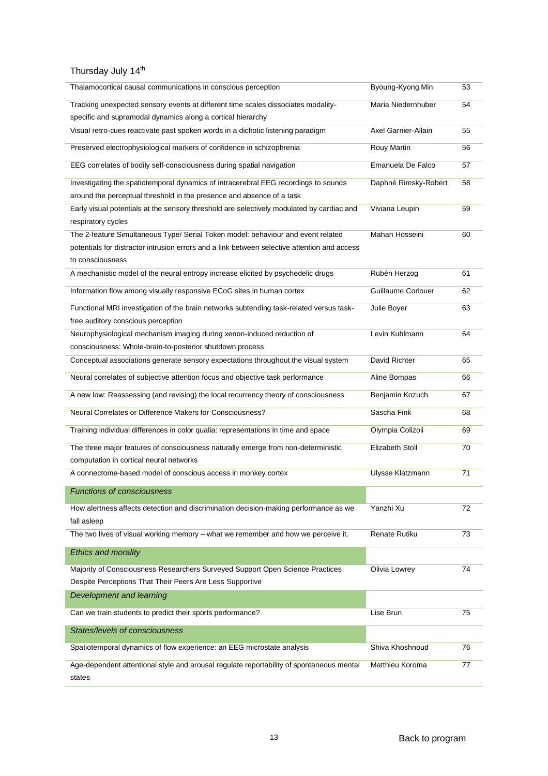| Thalamocortical causal communications in conscious perception                                | Byoung-Kyong Min          | 53 |
|----------------------------------------------------------------------------------------------|---------------------------|----|
| Tracking unexpected sensory events at different time scales dissociates modality-            | Maria Niedernhuber        | 54 |
| specific and supramodal dynamics along a cortical hierarchy                                  |                           |    |
| Visual retro-cues reactivate past spoken words in a dichotic listening paradigm              | Axel Garnier-Allain       | 55 |
| Preserved electrophysiological markers of confidence in schizophrenia                        | Rouy Martin               | 56 |
| EEG correlates of bodily self-consciousness during spatial navigation                        | Emanuela De Falco         | 57 |
| Investigating the spatiotemporal dynamics of intracerebral EEG recordings to sounds          | Daphné Rimsky-Robert      | 58 |
| around the perceptual threshold in the presence and absence of a task                        |                           |    |
| Early visual potentials at the sensory threshold are selectively modulated by cardiac and    | Viviana Leupin            | 59 |
| respiratory cycles                                                                           |                           |    |
| The 2-feature Simultaneous Type/ Serial Token model: behaviour and event related             | Mahan Hosseini            | 60 |
| potentials for distractor intrusion errors and a link between selective attention and access |                           |    |
| to consciousness                                                                             |                           |    |
| A mechanistic model of the neural entropy increase elicited by psychedelic drugs             | Rubén Herzog              | 61 |
| Information flow among visually responsive ECoG sites in human cortex                        | <b>Guillaume Corlouer</b> | 62 |
| Functional MRI investigation of the brain networks subtending task-related versus task-      | Julie Boyer               | 63 |
| free auditory conscious perception                                                           |                           |    |
| Neurophysiological mechanism imaging during xenon-induced reduction of                       | Levin Kuhlmann            | 64 |
| consciousness: Whole-brain-to-posterior shutdown process                                     |                           |    |
| Conceptual associations generate sensory expectations throughout the visual system           | David Richter             | 65 |
| Neural correlates of subjective attention focus and objective task performance               | Aline Bompas              | 66 |
| A new low: Reassessing (and revising) the local recurrency theory of consciousness           | Benjamin Kozuch           | 67 |
| Neural Correlates or Difference Makers for Consciousness?                                    | Sascha Fink               | 68 |
| Training individual differences in color qualia: representations in time and space           | Olympia Colizoli          | 69 |
| The three major features of consciousness naturally emerge from non-deterministic            | Elizabeth Stoll           | 70 |
| computation in cortical neural networks                                                      |                           |    |
| A connectome-based model of conscious access in monkey cortex                                | <b>Ulysse Klatzmann</b>   | 71 |
| <b>Functions of consciousness</b>                                                            |                           |    |
| How alertness affects detection and discrimination decision-making performance as we         | Yanzhi Xu                 | 72 |
| fall asleep                                                                                  |                           |    |
| The two lives of visual working memory - what we remember and how we perceive it.            | Renate Rutiku             | 73 |
| <b>Ethics and morality</b>                                                                   |                           |    |
| Majority of Consciousness Researchers Surveyed Support Open Science Practices                | Olivia Lowrey             | 74 |
| Despite Perceptions That Their Peers Are Less Supportive                                     |                           |    |
| Development and learning                                                                     |                           |    |
| Can we train students to predict their sports performance?                                   | Lise Brun                 | 75 |
|                                                                                              |                           |    |
| States/levels of consciousness                                                               |                           |    |
| Spatiotemporal dynamics of flow experience: an EEG microstate analysis                       | Shiva Khoshnoud           | 76 |
| Age-dependent attentional style and arousal regulate reportability of spontaneous mental     | Matthieu Koroma           | 77 |
| states                                                                                       |                           |    |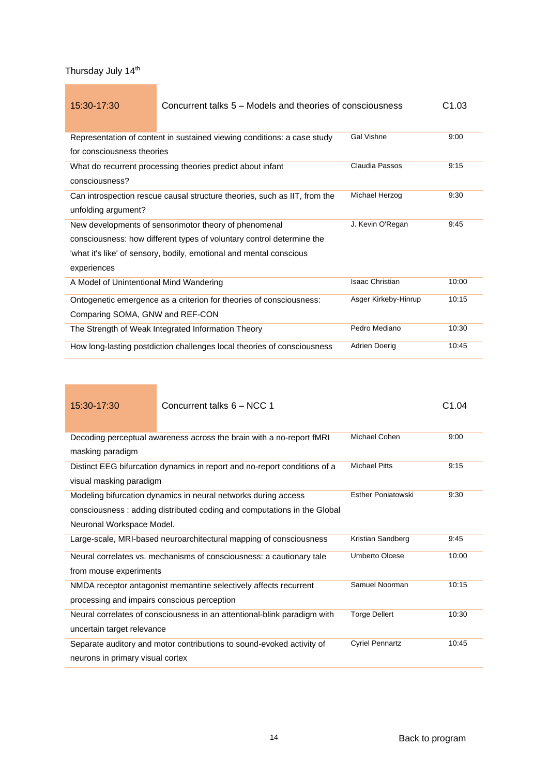<span id="page-13-0"></span>

| 15:30-17:30                                                           | Concurrent talks 5 – Models and theories of consciousness                 |                        | C1.03 |
|-----------------------------------------------------------------------|---------------------------------------------------------------------------|------------------------|-------|
|                                                                       | Representation of content in sustained viewing conditions: a case study   | <b>Gal Vishne</b>      | 9:00  |
| for consciousness theories                                            |                                                                           |                        |       |
|                                                                       | What do recurrent processing theories predict about infant                | Claudia Passos         | 9:15  |
| consciousness?                                                        |                                                                           |                        |       |
|                                                                       | Can introspection rescue causal structure theories, such as IIT, from the | Michael Herzog         | 9:30  |
| unfolding argument?                                                   |                                                                           |                        |       |
| New developments of sensorimotor theory of phenomenal                 |                                                                           | J. Kevin O'Regan       | 9:45  |
| consciousness: how different types of voluntary control determine the |                                                                           |                        |       |
|                                                                       | 'what it's like' of sensory, bodily, emotional and mental conscious       |                        |       |
| experiences                                                           |                                                                           |                        |       |
| A Model of Unintentional Mind Wandering                               |                                                                           | <b>Isaac Christian</b> | 10:00 |
|                                                                       | Ontogenetic emergence as a criterion for theories of consciousness:       | Asger Kirkeby-Hinrup   | 10:15 |
| Comparing SOMA, GNW and REF-CON                                       |                                                                           |                        |       |
|                                                                       | The Strength of Weak Integrated Information Theory                        | Pedro Mediano          | 10:30 |
|                                                                       | How long-lasting postdiction challenges local theories of consciousness   | Adrien Doerig          | 10:45 |

| 15:30-17:30                                 | Concurrent talks 6 - NCC 1                                                                                                                |                           | C <sub>1.04</sub> |
|---------------------------------------------|-------------------------------------------------------------------------------------------------------------------------------------------|---------------------------|-------------------|
| masking paradigm                            | Decoding perceptual awareness across the brain with a no-report fMRI                                                                      | Michael Cohen             | 9:00              |
| visual masking paradigm                     | Distinct EEG bifurcation dynamics in report and no-report conditions of a                                                                 | <b>Michael Pitts</b>      | 9:15              |
| Neuronal Workspace Model.                   | Modeling bifurcation dynamics in neural networks during access<br>consciousness: adding distributed coding and computations in the Global | <b>Esther Poniatowski</b> | 9:30              |
|                                             | Large-scale, MRI-based neuroarchitectural mapping of consciousness                                                                        | Kristian Sandberg         | 9:45              |
| from mouse experiments                      | Neural correlates vs. mechanisms of consciousness: a cautionary tale                                                                      | <b>Umberto Olcese</b>     | 10:00             |
| processing and impairs conscious perception | NMDA receptor antagonist memantine selectively affects recurrent                                                                          | Samuel Noorman            | 10:15             |
| uncertain target relevance                  | Neural correlates of consciousness in an attentional-blink paradigm with                                                                  | <b>Torge Dellert</b>      | 10:30             |
| neurons in primary visual cortex            | Separate auditory and motor contributions to sound-evoked activity of                                                                     | <b>Cyriel Pennartz</b>    | 10:45             |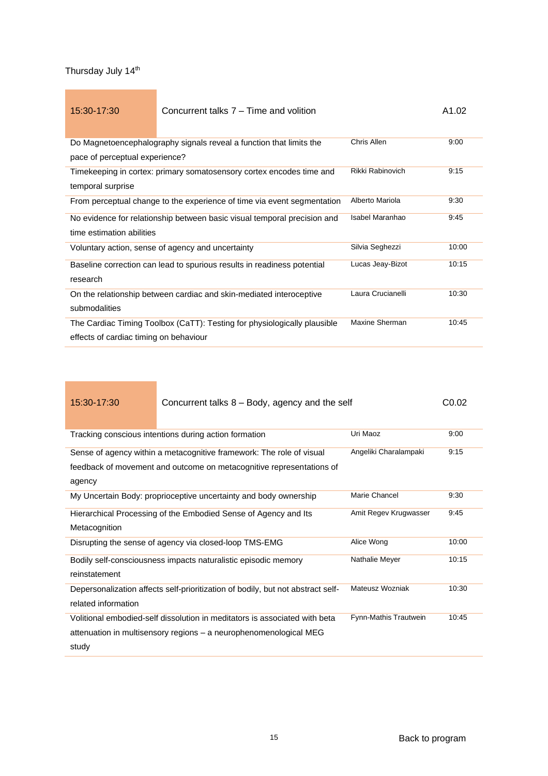| 15:30-17:30                            | Concurrent talks 7 – Time and volition                                   |                   | A1.02 |
|----------------------------------------|--------------------------------------------------------------------------|-------------------|-------|
|                                        |                                                                          |                   |       |
|                                        | Do Magnetoencephalography signals reveal a function that limits the      | Chris Allen       | 9:00  |
| pace of perceptual experience?         |                                                                          |                   |       |
|                                        | Timekeeping in cortex: primary somatosensory cortex encodes time and     | Rikki Rabinovich  | 9:15  |
| temporal surprise                      |                                                                          |                   |       |
|                                        | From perceptual change to the experience of time via event segmentation  | Alberto Mariola   | 9:30  |
|                                        | No evidence for relationship between basic visual temporal precision and | Isabel Maranhao   | 9:45  |
| time estimation abilities              |                                                                          |                   |       |
|                                        | Voluntary action, sense of agency and uncertainty                        | Silvia Seghezzi   | 10:00 |
|                                        | Baseline correction can lead to spurious results in readiness potential  | Lucas Jeay-Bizot  | 10:15 |
| research                               |                                                                          |                   |       |
|                                        | On the relationship between cardiac and skin-mediated interoceptive      | Laura Crucianelli | 10:30 |
| submodalities                          |                                                                          |                   |       |
|                                        | The Cardiac Timing Toolbox (CaTT): Testing for physiologically plausible | Maxine Sherman    | 10:45 |
| effects of cardiac timing on behaviour |                                                                          |                   |       |

| 15:30-17:30                                                       | Concurrent talks 8 – Body, agency and the self                                  |                       | C <sub>0.02</sub> |
|-------------------------------------------------------------------|---------------------------------------------------------------------------------|-----------------------|-------------------|
|                                                                   |                                                                                 |                       |                   |
|                                                                   | Tracking conscious intentions during action formation                           | Uri Maoz              | 9:00              |
|                                                                   | Sense of agency within a metacognitive framework: The role of visual            | Angeliki Charalampaki | 9:15              |
|                                                                   | feedback of movement and outcome on metacognitive representations of            |                       |                   |
| agency                                                            |                                                                                 |                       |                   |
|                                                                   | My Uncertain Body: proprioceptive uncertainty and body ownership                | Marie Chancel         | 9:30              |
| Hierarchical Processing of the Embodied Sense of Agency and Its   |                                                                                 | Amit Regev Krugwasser | 9:45              |
| Metacognition                                                     |                                                                                 |                       |                   |
| Disrupting the sense of agency via closed-loop TMS-EMG            |                                                                                 | Alice Wong            | 10:00             |
|                                                                   | Bodily self-consciousness impacts naturalistic episodic memory                  | Nathalie Meyer        | 10:15             |
| reinstatement                                                     |                                                                                 |                       |                   |
|                                                                   | Depersonalization affects self-prioritization of bodily, but not abstract self- | Mateusz Wozniak       | 10:30             |
| related information                                               |                                                                                 |                       |                   |
|                                                                   | Volitional embodied-self dissolution in meditators is associated with beta      | Fynn-Mathis Trautwein | 10:45             |
| attenuation in multisensory regions – a neurophenomenological MEG |                                                                                 |                       |                   |
| study                                                             |                                                                                 |                       |                   |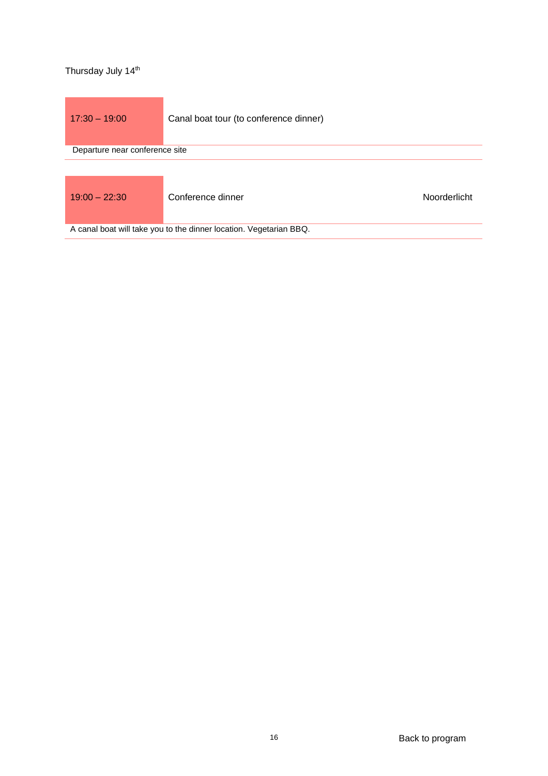<span id="page-15-1"></span><span id="page-15-0"></span>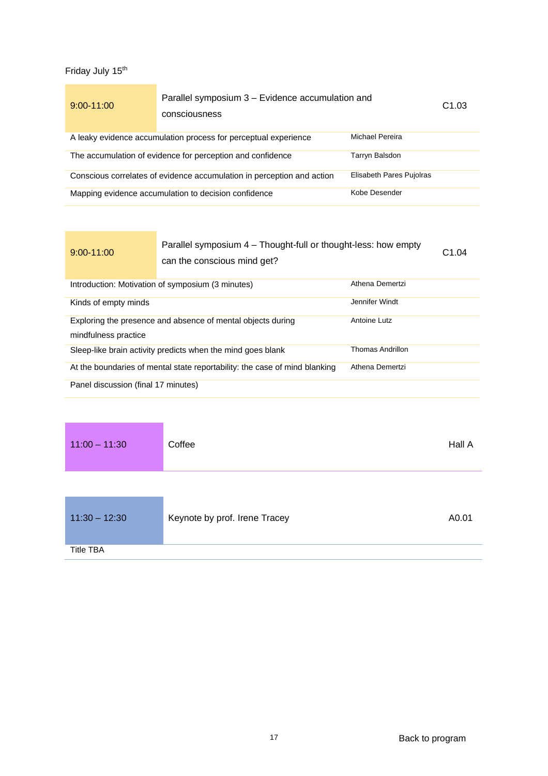<span id="page-16-1"></span><span id="page-16-0"></span>

| $9:00 - 11:00$ | Parallel symposium 3 – Evidence accumulation and<br>consciousness      |                          | C <sub>1.03</sub> |
|----------------|------------------------------------------------------------------------|--------------------------|-------------------|
|                | A leaky evidence accumulation process for perceptual experience        | Michael Pereira          |                   |
|                | The accumulation of evidence for perception and confidence             | Tarryn Balsdon           |                   |
|                | Conscious correlates of evidence accumulation in perception and action | Elisabeth Pares Pujolras |                   |
|                | Mapping evidence accumulation to decision confidence                   | Kobe Desender            |                   |

| $9:00 - 11:00$                                                                                      | Parallel symposium 4 – Thought-full or thought-less: how empty<br>can the conscious mind get? |                 | C <sub>1.04</sub> |
|-----------------------------------------------------------------------------------------------------|-----------------------------------------------------------------------------------------------|-----------------|-------------------|
|                                                                                                     | Introduction: Motivation of symposium (3 minutes)                                             | Athena Demertzi |                   |
| Kinds of empty minds                                                                                |                                                                                               | Jennifer Windt  |                   |
| Antoine Lutz<br>Exploring the presence and absence of mental objects during<br>mindfulness practice |                                                                                               |                 |                   |
| Thomas Andrillon<br>Sleep-like brain activity predicts when the mind goes blank                     |                                                                                               |                 |                   |
| Athena Demertzi<br>At the boundaries of mental state reportability: the case of mind blanking       |                                                                                               |                 |                   |
| Panel discussion (final 17 minutes)                                                                 |                                                                                               |                 |                   |

<span id="page-16-3"></span><span id="page-16-2"></span>

| $11:00 - 11:30$  | Coffee                        | Hall A |
|------------------|-------------------------------|--------|
|                  |                               |        |
| $11:30 - 12:30$  | Keynote by prof. Irene Tracey | A0.01  |
| <b>Title TBA</b> |                               |        |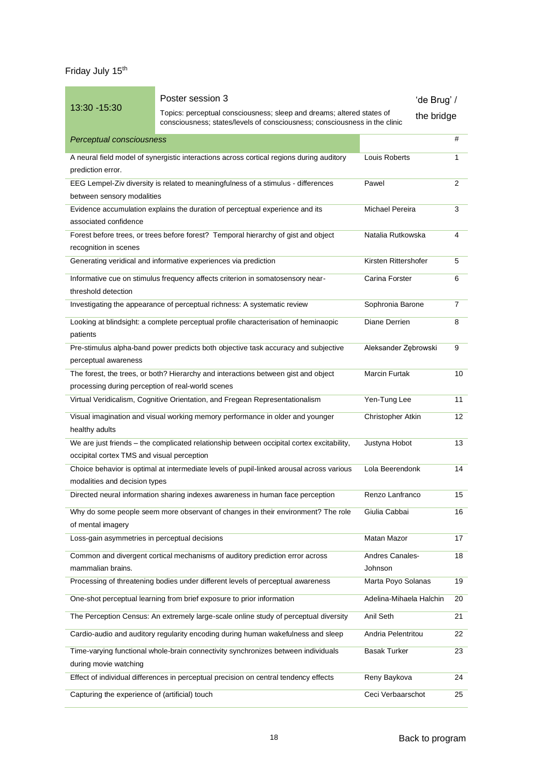<span id="page-17-0"></span>

|                                                   | Poster session 3                                                                                                                                    |                         | 'de Brug' /    |
|---------------------------------------------------|-----------------------------------------------------------------------------------------------------------------------------------------------------|-------------------------|----------------|
| 13:30 - 15:30                                     | Topics: perceptual consciousness; sleep and dreams; altered states of<br>consciousness; states/levels of consciousness; consciousness in the clinic |                         | the bridge     |
| Perceptual consciousness                          |                                                                                                                                                     |                         | #              |
| prediction error.                                 | A neural field model of synergistic interactions across cortical regions during auditory                                                            | Louis Roberts           | 1              |
|                                                   | EEG Lempel-Ziv diversity is related to meaningfulness of a stimulus - differences                                                                   | Pawel                   | 2              |
| between sensory modalities                        |                                                                                                                                                     |                         |                |
|                                                   | Evidence accumulation explains the duration of perceptual experience and its                                                                        | <b>Michael Pereira</b>  | 3              |
| associated confidence                             |                                                                                                                                                     |                         |                |
| recognition in scenes                             | Forest before trees, or trees before forest? Temporal hierarchy of gist and object                                                                  | Natalia Rutkowska       | 4              |
|                                                   | Generating veridical and informative experiences via prediction                                                                                     | Kirsten Rittershofer    | 5              |
|                                                   | Informative cue on stimulus frequency affects criterion in somatosensory near-                                                                      | Carina Forster          | 6              |
| threshold detection                               |                                                                                                                                                     |                         |                |
|                                                   | Investigating the appearance of perceptual richness: A systematic review                                                                            | Sophronia Barone        | $\overline{7}$ |
| patients                                          | Looking at blindsight: a complete perceptual profile characterisation of heminaopic                                                                 | Diane Derrien           | 8              |
| perceptual awareness                              | Pre-stimulus alpha-band power predicts both objective task accuracy and subjective                                                                  | Aleksander Zębrowski    | 9              |
| processing during perception of real-world scenes | The forest, the trees, or both? Hierarchy and interactions between gist and object                                                                  | Marcin Furtak           | 10             |
|                                                   | Virtual Veridicalism, Cognitive Orientation, and Fregean Representationalism                                                                        | Yen-Tung Lee            | 11             |
|                                                   | Visual imagination and visual working memory performance in older and younger                                                                       | Christopher Atkin       | 12             |
| healthy adults                                    |                                                                                                                                                     |                         |                |
|                                                   | We are just friends - the complicated relationship between occipital cortex excitability,                                                           | Justyna Hobot           | 13             |
| occipital cortex TMS and visual perception        |                                                                                                                                                     |                         |                |
|                                                   | Choice behavior is optimal at intermediate levels of pupil-linked arousal across various                                                            | Lola Beerendonk         | 14             |
| modalities and decision types                     |                                                                                                                                                     |                         |                |
|                                                   | Directed neural information sharing indexes awareness in human face perception                                                                      | Renzo Lanfranco         | 15             |
| of mental imagery                                 | Why do some people seem more observant of changes in their environment? The role                                                                    | Giulia Cabbai           | 16             |
| Loss-gain asymmetries in perceptual decisions     |                                                                                                                                                     | Matan Mazor             | 17             |
|                                                   | Common and divergent cortical mechanisms of auditory prediction error across                                                                        | Andres Canales-         | 18             |
| mammalian brains.                                 |                                                                                                                                                     | Johnson                 |                |
|                                                   | Processing of threatening bodies under different levels of perceptual awareness                                                                     | Marta Poyo Solanas      | 19             |
|                                                   | One-shot perceptual learning from brief exposure to prior information                                                                               | Adelina-Mihaela Halchin | 20             |
|                                                   | The Perception Census: An extremely large-scale online study of perceptual diversity                                                                | Anil Seth               | 21             |
|                                                   | Cardio-audio and auditory regularity encoding during human wakefulness and sleep                                                                    | Andria Pelentritou      | 22             |
|                                                   | Time-varying functional whole-brain connectivity synchronizes between individuals                                                                   | <b>Basak Turker</b>     | 23             |
| during movie watching                             |                                                                                                                                                     |                         |                |
|                                                   | Effect of individual differences in perceptual precision on central tendency effects                                                                | Reny Baykova            | 24             |
| Capturing the experience of (artificial) touch    |                                                                                                                                                     | Ceci Verbaarschot       | 25             |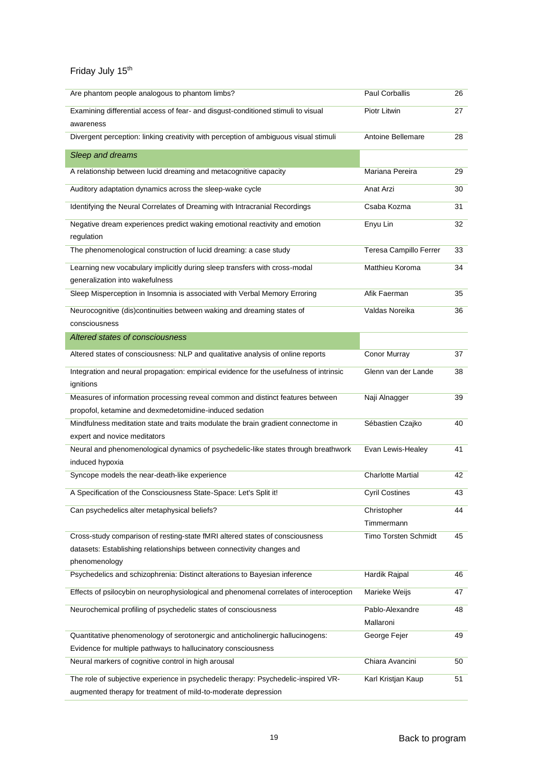| Are phantom people analogous to phantom limbs?                                         | Paul Corballis              | 26 |
|----------------------------------------------------------------------------------------|-----------------------------|----|
| Examining differential access of fear- and disgust-conditioned stimuli to visual       | Piotr Litwin                | 27 |
| awareness                                                                              |                             |    |
| Divergent perception: linking creativity with perception of ambiguous visual stimuli   | Antoine Bellemare           | 28 |
| Sleep and dreams                                                                       |                             |    |
| A relationship between lucid dreaming and metacognitive capacity                       | Mariana Pereira             | 29 |
| Auditory adaptation dynamics across the sleep-wake cycle                               | Anat Arzi                   | 30 |
| Identifying the Neural Correlates of Dreaming with Intracranial Recordings             | Csaba Kozma                 | 31 |
| Negative dream experiences predict waking emotional reactivity and emotion             | Enyu Lin                    | 32 |
| regulation                                                                             |                             |    |
| The phenomenological construction of lucid dreaming: a case study                      | Teresa Campillo Ferrer      | 33 |
| Learning new vocabulary implicitly during sleep transfers with cross-modal             | Matthieu Koroma             | 34 |
| generalization into wakefulness                                                        |                             |    |
| Sleep Misperception in Insomnia is associated with Verbal Memory Erroring              | Afik Faerman                | 35 |
| Neurocognitive (dis)continuities between waking and dreaming states of                 | Valdas Noreika              | 36 |
| consciousness                                                                          |                             |    |
| Altered states of consciousness                                                        |                             |    |
| Altered states of consciousness: NLP and qualitative analysis of online reports        | Conor Murray                | 37 |
| Integration and neural propagation: empirical evidence for the usefulness of intrinsic | Glenn van der Lande         | 38 |
| ignitions                                                                              |                             |    |
| Measures of information processing reveal common and distinct features between         | Naji Alnagger               | 39 |
| propofol, ketamine and dexmedetomidine-induced sedation                                |                             |    |
| Mindfulness meditation state and traits modulate the brain gradient connectome in      | Sébastien Czajko            | 40 |
| expert and novice meditators                                                           |                             |    |
| Neural and phenomenological dynamics of psychedelic-like states through breathwork     | Evan Lewis-Healey           | 41 |
| induced hypoxia                                                                        |                             |    |
| Syncope models the near-death-like experience                                          | <b>Charlotte Martial</b>    | 42 |
| A Specification of the Consciousness State-Space: Let's Split it!                      | <b>Cyril Costines</b>       | 43 |
| Can psychedelics alter metaphysical beliefs?                                           | Christopher                 | 44 |
|                                                                                        | Timmermann                  |    |
| Cross-study comparison of resting-state fMRI altered states of consciousness           | <b>Timo Torsten Schmidt</b> | 45 |
| datasets: Establishing relationships between connectivity changes and                  |                             |    |
| phenomenology                                                                          |                             |    |
| Psychedelics and schizophrenia: Distinct alterations to Bayesian inference             | Hardik Rajpal               | 46 |
| Effects of psilocybin on neurophysiological and phenomenal correlates of interoception | Marieke Weijs               | 47 |
| Neurochemical profiling of psychedelic states of consciousness                         | Pablo-Alexandre             | 48 |
|                                                                                        | Mallaroni                   |    |
| Quantitative phenomenology of serotonergic and anticholinergic hallucinogens:          | George Fejer                | 49 |
| Evidence for multiple pathways to hallucinatory consciousness                          |                             |    |
| Neural markers of cognitive control in high arousal                                    | Chiara Avancini             | 50 |
| The role of subjective experience in psychedelic therapy: Psychedelic-inspired VR-     | Karl Kristjan Kaup          | 51 |
| augmented therapy for treatment of mild-to-moderate depression                         |                             |    |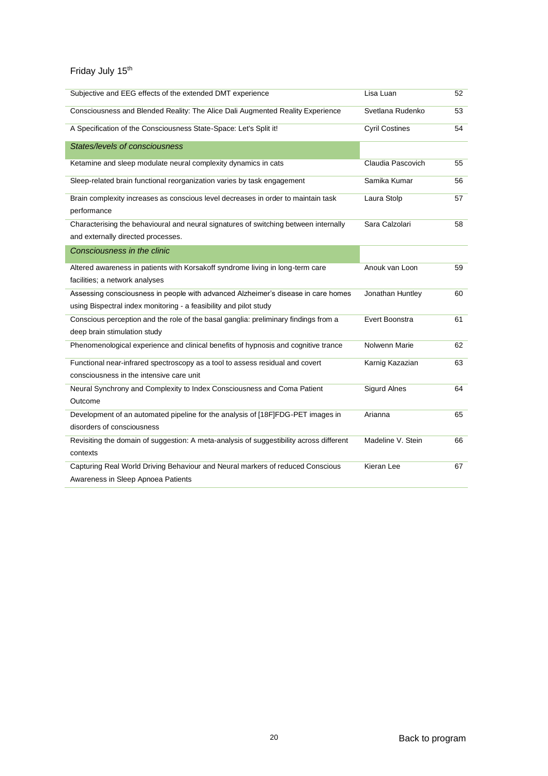| Subjective and EEG effects of the extended DMT experience                               | Lisa Luan             | 52 |
|-----------------------------------------------------------------------------------------|-----------------------|----|
| Consciousness and Blended Reality: The Alice Dali Augmented Reality Experience          | Svetlana Rudenko      | 53 |
| A Specification of the Consciousness State-Space: Let's Split it!                       | <b>Cyril Costines</b> | 54 |
| States/levels of consciousness                                                          |                       |    |
| Ketamine and sleep modulate neural complexity dynamics in cats                          | Claudia Pascovich     | 55 |
| Sleep-related brain functional reorganization varies by task engagement                 | Samika Kumar          | 56 |
| Brain complexity increases as conscious level decreases in order to maintain task       | Laura Stolp           | 57 |
| performance                                                                             |                       |    |
| Characterising the behavioural and neural signatures of switching between internally    | Sara Calzolari        | 58 |
| and externally directed processes.                                                      |                       |    |
| Consciousness in the clinic                                                             |                       |    |
| Altered awareness in patients with Korsakoff syndrome living in long-term care          | Anouk van Loon        | 59 |
| facilities; a network analyses                                                          |                       |    |
| Assessing consciousness in people with advanced Alzheimer's disease in care homes       | Jonathan Huntley      | 60 |
| using Bispectral index monitoring - a feasibility and pilot study                       |                       |    |
| Conscious perception and the role of the basal ganglia: preliminary findings from a     | Evert Boonstra        | 61 |
| deep brain stimulation study                                                            |                       |    |
| Phenomenological experience and clinical benefits of hypnosis and cognitive trance      | Nolwenn Marie         | 62 |
| Functional near-infrared spectroscopy as a tool to assess residual and covert           | Karnig Kazazian       | 63 |
| consciousness in the intensive care unit                                                |                       |    |
| Neural Synchrony and Complexity to Index Consciousness and Coma Patient                 | <b>Sigurd Alnes</b>   | 64 |
| Outcome                                                                                 |                       |    |
| Development of an automated pipeline for the analysis of [18F]FDG-PET images in         | Arianna               | 65 |
| disorders of consciousness                                                              |                       |    |
| Revisiting the domain of suggestion: A meta-analysis of suggestibility across different | Madeline V. Stein     | 66 |
| contexts                                                                                |                       |    |
| Capturing Real World Driving Behaviour and Neural markers of reduced Conscious          | Kieran Lee            | 67 |
| Awareness in Sleep Apnoea Patients                                                      |                       |    |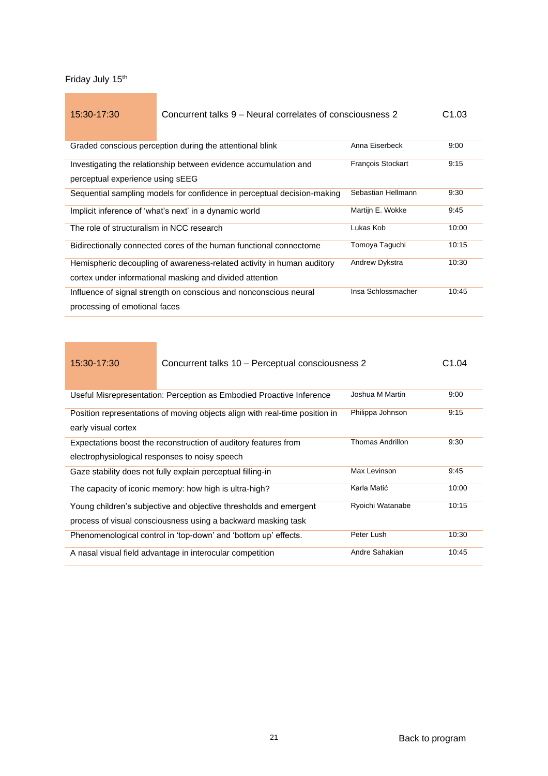## <span id="page-20-0"></span>15:30-17:30 Concurrent talks 9 – Neural correlates of consciousness 2 C1.03

| Graded conscious perception during the attentional blink                | Anna Eiserbeck           | 9:00  |
|-------------------------------------------------------------------------|--------------------------|-------|
| Investigating the relationship between evidence accumulation and        | <b>Francois Stockart</b> | 9:15  |
| perceptual experience using sEEG                                        |                          |       |
| Sequential sampling models for confidence in perceptual decision-making | Sebastian Hellmann       | 9:30  |
| Implicit inference of 'what's next' in a dynamic world                  | Martijn E. Wokke         | 9:45  |
| The role of structuralism in NCC research                               | Lukas Kob                | 10:00 |
| Bidirectionally connected cores of the human functional connectome      | Tomoya Taguchi           | 10:15 |
| Hemispheric decoupling of awareness-related activity in human auditory  | Andrew Dykstra           | 10:30 |
| cortex under informational masking and divided attention                |                          |       |
| Influence of signal strength on conscious and nonconscious neural       | Insa Schlossmacher       | 10:45 |
| processing of emotional faces                                           |                          |       |

| 15:30-17:30                                                                         | Concurrent talks 10 - Perceptual consciousness 2                            |                  | C <sub>1.04</sub> |
|-------------------------------------------------------------------------------------|-----------------------------------------------------------------------------|------------------|-------------------|
|                                                                                     |                                                                             |                  |                   |
|                                                                                     | Useful Misrepresentation: Perception as Embodied Proactive Inference        | Joshua M Martin  | 9:00              |
|                                                                                     | Position representations of moving objects align with real-time position in | Philippa Johnson | 9:15              |
| early visual cortex                                                                 |                                                                             |                  |                   |
| Thomas Andrillon<br>Expectations boost the reconstruction of auditory features from |                                                                             |                  | 9:30              |
| electrophysiological responses to noisy speech                                      |                                                                             |                  |                   |
|                                                                                     | Gaze stability does not fully explain perceptual filling-in                 | Max Levinson     | 9:45              |
|                                                                                     | The capacity of iconic memory: how high is ultra-high?                      | Karla Matić      | 10:00             |
|                                                                                     | Young children's subjective and objective thresholds and emergent           | Ryoichi Watanabe | 10:15             |
| process of visual consciousness using a backward masking task                       |                                                                             |                  |                   |
|                                                                                     | Phenomenological control in 'top-down' and 'bottom up' effects.             | Peter Lush       | 10:30             |
|                                                                                     | A nasal visual field advantage in interocular competition                   | Andre Sahakian   | 10:45             |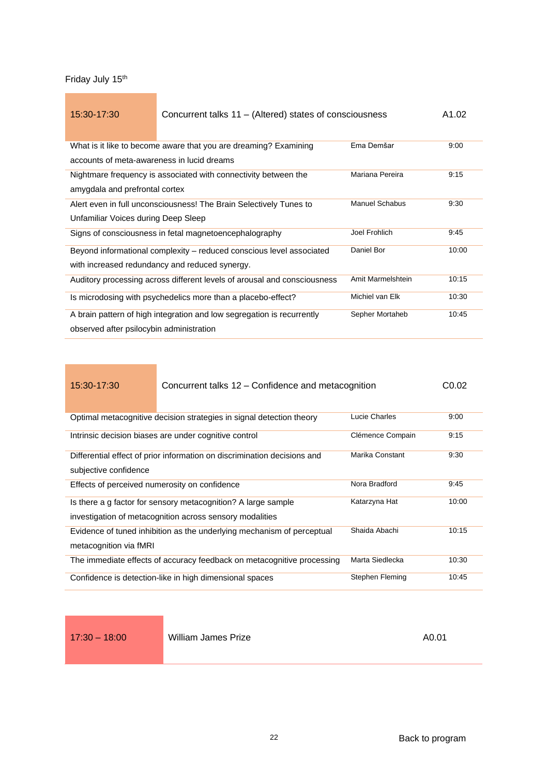Friday July 15<sup>th</sup>

| 15:30-17:30                                                                                 | Concurrent talks 11 – (Altered) states of consciousness                  |                   | A1.02 |
|---------------------------------------------------------------------------------------------|--------------------------------------------------------------------------|-------------------|-------|
|                                                                                             |                                                                          |                   |       |
|                                                                                             | What is it like to become aware that you are dreaming? Examining         | Ema Demšar        | 9:00  |
| accounts of meta-awareness in lucid dreams                                                  |                                                                          |                   |       |
|                                                                                             | Nightmare frequency is associated with connectivity between the          | Mariana Pereira   | 9:15  |
| amygdala and prefrontal cortex                                                              |                                                                          |                   |       |
| <b>Manuel Schabus</b><br>Alert even in full unconsciousness! The Brain Selectively Tunes to |                                                                          |                   | 9:30  |
| Unfamiliar Voices during Deep Sleep                                                         |                                                                          |                   |       |
|                                                                                             | Signs of consciousness in fetal magnetoencephalography                   | Joel Frohlich     | 9:45  |
|                                                                                             | Beyond informational complexity – reduced conscious level associated     | Daniel Bor        | 10:00 |
| with increased redundancy and reduced synergy.                                              |                                                                          |                   |       |
|                                                                                             | Auditory processing across different levels of arousal and consciousness | Amit Marmelshtein | 10:15 |
|                                                                                             | Is microdosing with psychedelics more than a placebo-effect?             | Michiel van Elk   | 10:30 |
|                                                                                             | A brain pattern of high integration and low segregation is recurrently   | Sepher Mortaheb   | 10:45 |
| observed after psilocybin administration                                                    |                                                                          |                   |       |

| 15:30-17:30 | Concurrent talks 12 – Confidence and metacognition | C0.02 |
|-------------|----------------------------------------------------|-------|
|             |                                                    |       |

| Optimal metacognitive decision strategies in signal detection theory                              | Lucie Charles    | 9:00  |
|---------------------------------------------------------------------------------------------------|------------------|-------|
| Intrinsic decision biases are under cognitive control                                             | Clémence Compain | 9:15  |
| Differential effect of prior information on discrimination decisions and<br>subjective confidence | Marika Constant  | 9:30  |
|                                                                                                   |                  |       |
| Effects of perceived numerosity on confidence                                                     | Nora Bradford    | 9:45  |
| Is there a g factor for sensory metacognition? A large sample                                     | Katarzyna Hat    | 10:00 |
| investigation of metacognition across sensory modalities                                          |                  |       |
| Evidence of tuned inhibition as the underlying mechanism of perceptual                            | Shaida Abachi    | 10:15 |
| metacognition via fMRI                                                                            |                  |       |
| The immediate effects of accuracy feedback on metacognitive processing                            | Marta Siedlecka  | 10:30 |
| Confidence is detection-like in high dimensional spaces                                           | Stephen Fleming  | 10:45 |

<span id="page-21-0"></span>

17:30 – 18:00 William James Prize **AD.01** A0.01